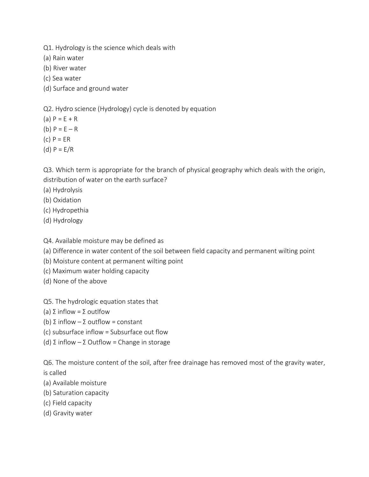- Q1. Hydrology is the science which deals with
- (a) Rain water
- (b) River water
- (c) Sea water
- (d) Surface and ground water

Q2. Hydro science (Hydrology) cycle is denoted by equation

- (a)  $P = E + R$
- (b)  $P = E R$
- (c) P = ER
- (d)  $P = E/R$

Q3. Which term is appropriate for the branch of physical geography which deals with the origin, distribution of water on the earth surface?

- (a) Hydrolysis
- (b) Oxidation
- (c) Hydropethia
- (d) Hydrology

Q4. Available moisture may be defined as

- (a) Difference in water content of the soil between field capacity and permanent wilting point
- (b) Moisture content at permanent wilting point
- (c) Maximum water holding capacity
- (d) None of the above
- Q5. The hydrologic equation states that
- (a) Σ inflow = Σ outlfow
- (b)  $\Sigma$  inflow  $-\Sigma$  outflow = constant
- (c) subsurface inflow = Subsurface out flow
- (d) Σ inflow Σ Outflow = Change in storage

Q6. The moisture content of the soil, after free drainage has removed most of the gravity water, is called

- (a) Available moisture
- (b) Saturation capacity
- (c) Field capacity
- (d) Gravity water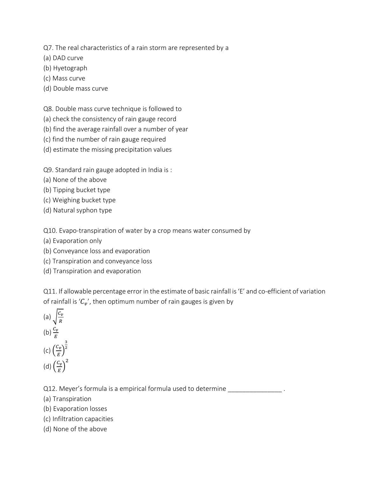Q7. The real characteristics of a rain storm are represented by a

(a) DAD curve

- (b) Hyetograph
- (c) Mass curve
- (d) Double mass curve

Q8. Double mass curve technique is followed to

- (a) check the consistency of rain gauge record
- (b) find the average rainfall over a number of year
- (c) find the number of rain gauge required
- (d) estimate the missing precipitation values

Q9. Standard rain gauge adopted in India is :

- (a) None of the above
- (b) Tipping bucket type
- (c) Weighing bucket type
- (d) Natural syphon type

Q10. Evapo-transpiration of water by a crop means water consumed by

- (a) Evaporation only
- (b) Conveyance loss and evaporation
- (c) Transpiration and conveyance loss
- (d) Transpiration and evaporation

Q11. If allowable percentage error in the estimate of basic rainfall is 'E' and co-efficient of variation of rainfall is ' $C_v'$ , then optimum number of rain gauges is given by

(a) 
$$
\sqrt{\frac{c_v}{R}}
$$
  
\n(b)  $\frac{c_v}{E}$   
\n(c)  $\left(\frac{c_v}{E}\right)^{\frac{3}{2}}$   
\n(d)  $\left(\frac{c_v}{E}\right)^2$ 

Q12. Meyer's formula is a empirical formula used to determine

- (a) Transpiration
- (b) Evaporation losses
- (c) Infiltration capacities
- (d) None of the above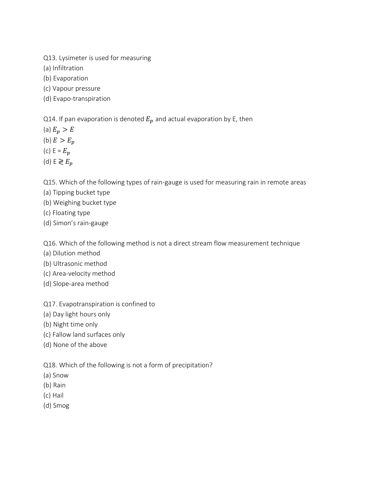- Q13. Lysimeter is used for measuring
- (a) Infiltration
- (b) Evaporation
- (c) Vapour pressure
- (d) Evapo-transpiration

Q14. If pan evaporation is denoted  $E_p$  and actual evaporation by E, then

- (a)  $E_p > E$
- (b)  $E > E_p$
- (c)  $E = E_p$
- (d)  $E \gtrless E_p$

Q15. Which of the following types of rain-gauge is used for measuring rain in remote areas

- (a) Tipping bucket type
- (b) Weighing bucket type
- (c) Floating type
- (d) Simon's rain-gauge

Q16. Which of the following method is not a direct stream flow measurement technique

- (a) Dilution method
- (b) Ultrasonic method
- (c) Area-velocity method
- (d) Slope-area method

Q17. Evapotranspiration is confined to

- (a) Day light hours only
- (b) Night time only
- (c) Fallow land surfaces only
- (d) None of the above

## Q18. Which of the following is not a form of precipitation?

- (a) Snow
- (b) Rain
- (c) Hail
- (d) Smog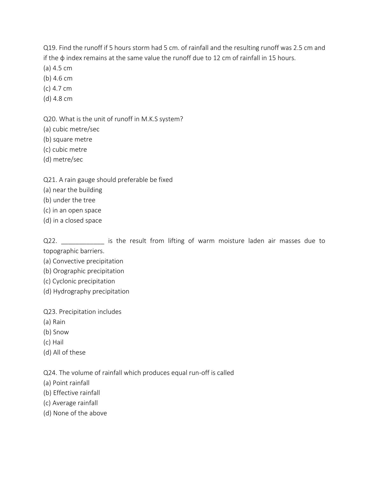Q19. Find the runoff if 5 hours storm had 5 cm. of rainfall and the resulting runoff was 2.5 cm and if the ϕ index remains at the same value the runoff due to 12 cm of rainfall in 15 hours.

- (a) 4.5 cm
- (b) 4.6 cm
- (c) 4.7 cm
- (d) 4.8 cm

Q20. What is the unit of runoff in M.K.S system?

(a) cubic metre/sec

- (b) square metre
- (c) cubic metre
- (d) metre/sec

Q21. A rain gauge should preferable be fixed

- (a) near the building
- (b) under the tree
- (c) in an open space
- (d) in a closed space

Q22. \_\_\_\_\_\_\_\_\_\_\_\_\_ is the result from lifting of warm moisture laden air masses due to topographic barriers.

- (a) Convective precipitation
- (b) Orographic precipitation
- (c) Cyclonic precipitation
- (d) Hydrography precipitation

Q23. Precipitation includes

- (a) Rain
- (b) Snow
- (c) Hail
- (d) All of these

Q24. The volume of rainfall which produces equal run-off is called

- (a) Point rainfall
- (b) Effective rainfall
- (c) Average rainfall
- (d) None of the above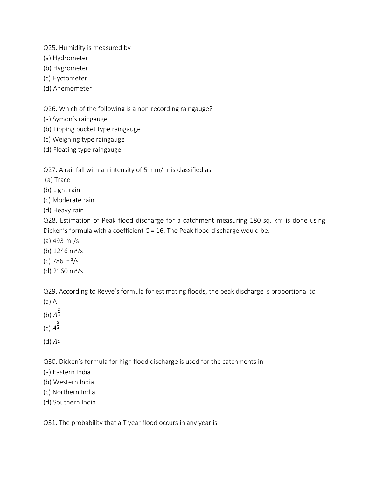Q25. Humidity is measured by

(a) Hydrometer

(b) Hygrometer

(c) Hyctometer

(d) Anemometer

Q26. Which of the following is a non-recording raingauge?

(a) Symon's raingauge

(b) Tipping bucket type raingauge

(c) Weighing type raingauge

(d) Floating type raingauge

Q27. A rainfall with an intensity of 5 mm/hr is classified as

(a) Trace

(b) Light rain

(c) Moderate rain

(d) Heavy rain

Q28. Estimation of Peak flood discharge for a catchment measuring 180 sq. km is done using Dicken's formula with a coefficient C = 16. The Peak flood discharge would be:

(a) 493  $\rm m^3/s$ 

(b)  $1246 \text{ m}^3/\text{s}$ 

- (c) 786  $\rm m^3/s$
- (d)  $2160 \text{ m}^3/\text{s}$

Q29. According to Reyve's formula for estimating floods, the peak discharge is proportional to

(a) A

(b)  $A^{\frac{2}{3}}$ 3

(c)  $A^{\frac{3}{4}}$ 4

(d)  $A^{\frac{1}{2}}$ 2

Q30. Dicken's formula for high flood discharge is used for the catchments in

(a) Eastern India

(b) Western India

(c) Northern India

(d) Southern India

Q31. The probability that a T year flood occurs in any year is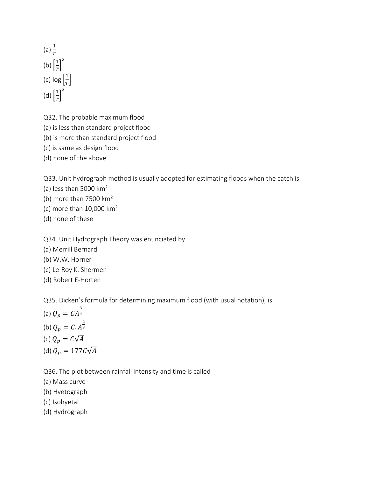(a)  $\frac{1}{T}$ (b)  $\left[\frac{1}{T}\right]$  $\left[\frac{1}{T}\right]^2$ (c)  $\log\left[\frac{1}{T}\right]$  $\frac{1}{T}$ (d)  $\left[\frac{1}{T}\right]$  $\left[\frac{1}{T}\right]^3$ 

Q32. The probable maximum flood

(a) is less than standard project flood

(b) is more than standard project flood

(c) is same as design flood

(d) none of the above

Q33. Unit hydrograph method is usually adopted for estimating floods when the catch is

(a) less than 5000 km²

- (b) more than 7500 km²
- (c) more than 10,000 km²
- (d) none of these

Q34. Unit Hydrograph Theory was enunciated by

- (a) Merrill Bernard
- (b) W.W. Horner
- (c) Le-Roy K. Shermen
- (d) Robert E-Horten

Q35. Dicken's formula for determining maximum flood (with usual notation), is

(a)  $Q_p = \mathcal{C} A^{\frac{3}{4}}$ 4 (b)  $Q_p = C_1 A^{\frac{2}{3}}$ 3 (c)  $Q_p = C\sqrt{A}$ (d)  $Q_p = 177C\sqrt{A}$ 

Q36. The plot between rainfall intensity and time is called

(a) Mass curve

(b) Hyetograph

(c) Isohyetal

(d) Hydrograph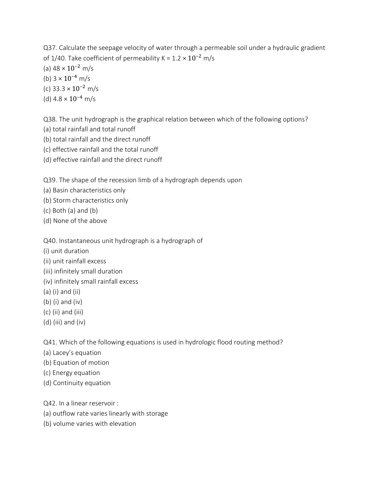Q37. Calculate the seepage velocity of water through a permeable soil under a hydraulic gradient of 1/40. Take coefficient of permeability K =  $1.2 \times 10^{-2}$  m/s (a)  $48 \times 10^{-2}$  m/s (b)  $3 \times 10^{-4}$  m/s (c) 33.3  $\times$  10<sup>-2</sup> m/s (d)  $4.8 \times 10^{-4}$  m/s

Q38. The unit hydrograph is the graphical relation between which of the following options?

- (a) total rainfall and total runoff
- (b) total rainfall and the direct runoff
- (c) effective rainfall and the total runoff
- (d) effective rainfall and the direct runoff

Q39. The shape of the recession limb of a hydrograph depends upon

- (a) Basin characteristics only
- (b) Storm characteristics only
- (c) Both (a) and (b)
- (d) None of the above

Q40. Instantaneous unit hydrograph is a hydrograph of

- (i) unit duration
- (ii) unit rainfall excess
- (iii) infinitely small duration
- (iv) infinitely small rainfall excess
- (a) (i) and (ii)
- (b) (i) and (iv)
- (c) (ii) and (iii)
- (d) (iii) and (iv)

Q41. Which of the following equations is used in hydrologic flood routing method?

- (a) Lacey's equation
- (b) Equation of motion
- (c) Energy equation
- (d) Continuity equation

Q42. In a linear reservoir :

- (a) outflow rate varies linearly with storage
- (b) volume varies with elevation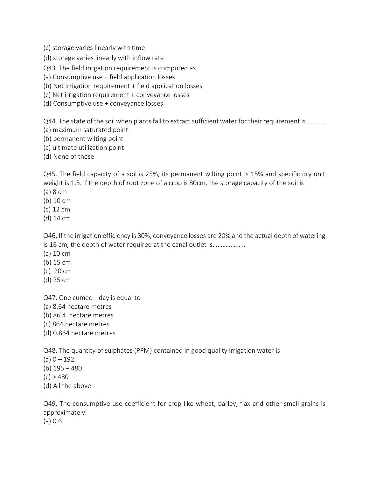(c) storage varies linearly with time

(d) storage varies linearly with inflow rate

Q43. The field irrigation requirement is computed as

(a) Consumptive use + field application losses

(b) Net irrigation requirement + field application losses

(c) Net irrigation requirement + conveyance losses

(d) Consumptive use + conveyance losses

Q44. The state of the soil when plants fail to extract sufficient water for their requirement is…………

(a) maximum saturated point

(b) permanent wilting point

(c) ultimate utilization point

(d) None of these

Q45. The field capacity of a soil is 25%, its permanent wilting point is 15% and specific dry unit weight is 1.5. if the depth of root zone of a crop is 80cm, the storage capacity of the soil is

(a) 8 cm

(b) 10 cm

(c) 12 cm

(d) 14 cm

Q46. If the irrigation efficiency is 80%, conveyance losses are 20% and the actual depth of watering is 16 cm, the depth of water required at the canal outlet is………………..

(a) 10 cm

(b) 15 cm

(c) 20 cm

(d) 25 cm

Q47. One cumec – day is equal to

(a) 8.64 hectare metres

(b) 86.4 hectare metres

(c) 864 hectare metres

(d) 0.864 hectare metres

Q48. The quantity of sulphates (PPM) contained in good quality irrigation water is

 $(a) 0 - 192$ 

(b) 195 – 480

 $(c) > 480$ 

(d) All the above

Q49. The consumptive use coefficient for crop like wheat, barley, flax and other small grains is approximately:

(a) 0.6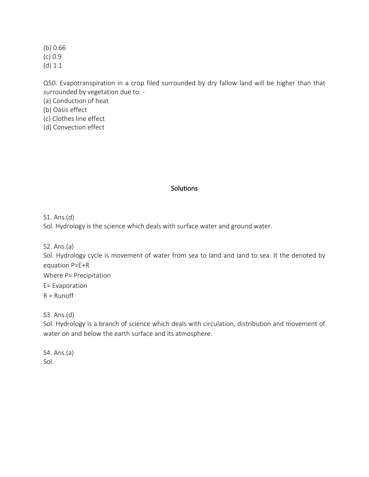(b) 0.66 (c) 0.9 (d) 1.1

Q50. Evapotranspiration in a crop filed surrounded by dry fallow land will be higher than that surrounded by vegetation due to: -

(a) Conduction of heat

(b) Oasis effect

(c) Clothes line effect

(d) Convection effect

### **Solutions**

S1. Ans.(d)

Sol. Hydrology is the science which deals with surface water and ground water.

S2. Ans.(a)

Sol. Hydrology cycle is movement of water from sea to land and land to sea. It the denoted by equation P=E+R

Where P= Precipitation

E= Evaporation

 $R =$  Runoff

S3. Ans.(d)

Sol. Hydrology is a branch of science which deals with circulation, distribution and movement of water on and below the earth surface and its atmosphere.

S4. Ans.(a) Sol.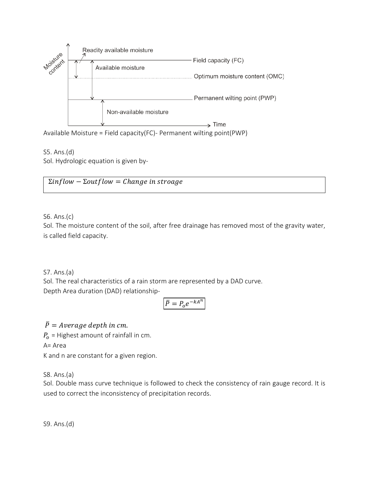

S5. Ans.(d) Sol. Hydrologic equation is given by-

 $\Sigma$ inflow –  $\Sigma$ outflow = Change in stroage

S6. Ans.(c)

Sol. The moisture content of the soil, after free drainage has removed most of the gravity water, is called field capacity.

S7. Ans.(a)

Sol. The real characteristics of a rain storm are represented by a DAD curve.

Depth Area duration (DAD) relationship-

$$
\bar{P} = P_o e^{-kA^n}
$$

 $\overline{P}$  = Average depth in cm.  $P_{o}$  = Highest amount of rainfall in cm. A= Area K and n are constant for a given region.

S8. Ans.(a)

Sol. Double mass curve technique is followed to check the consistency of rain gauge record. It is used to correct the inconsistency of precipitation records.

S9. Ans.(d)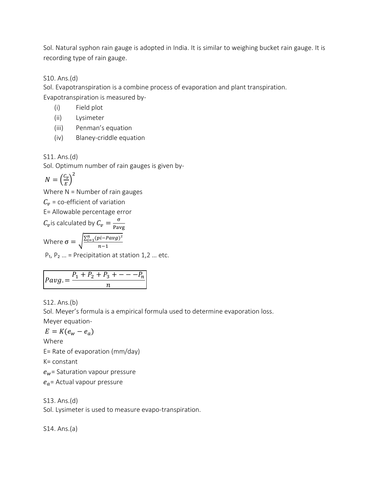Sol. Natural syphon rain gauge is adopted in India. It is similar to weighing bucket rain gauge. It is recording type of rain gauge.

S10. Ans.(d)

Sol. Evapotranspiration is a combine process of evaporation and plant transpiration.

Evapotranspiration is measured by-

- (i) Field plot
- (ii) Lysimeter
- (iii) Penman's equation
- (iv) Blaney-criddle equation

S11. Ans.(d)

Sol. Optimum number of rain gauges is given by-

$$
N = \left(\frac{c_v}{E}\right)^2
$$

Where  $N =$  Number of rain gauges

 $C_{\nu}$  = co-efficient of variation

E= Allowable percentage error

 $C_v$  is calculated by  $C_v = \frac{\sigma}{\rho_{\text{max}}}$ Pavg

Where  $\sigma = \sqrt{\frac{\sum_{i=1}^{n}(pi-Pavg)^2}{n-1}}$  $n-1$ 

 $P_1$ ,  $P_2$  ... = Precipitation at station 1,2 ... etc.

$$
Payg. = \frac{P_1 + P_2 + P_3 + \dots - P_n}{n}
$$

S12. Ans.(b)

Sol. Meyer's formula is a empirical formula used to determine evaporation loss.

Meyer equation-

$$
E=K(e_w-e_a)
$$

Where

E= Rate of evaporation (mm/day)

K= constant

 $e_w$ = Saturation vapour pressure

 $e_a$ = Actual vapour pressure

S13. Ans.(d)

Sol. Lysimeter is used to measure evapo-transpiration.

S14. Ans.(a)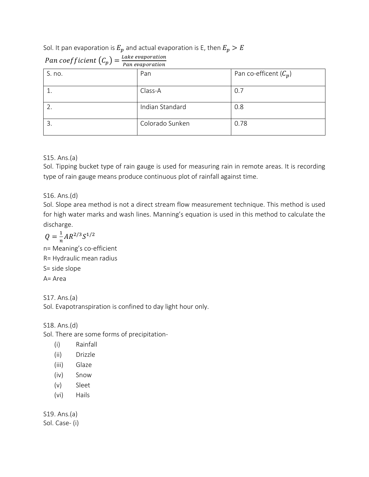## Sol. It pan evaporation is  $E_p$  and actual evaporation is E, then  $E_p > E$

| $\sim$ $\mu$<br>Pan evaporation |                 |                         |
|---------------------------------|-----------------|-------------------------|
| S. no.                          | Pan             | Pan co-efficent $(C_p)$ |
|                                 | Class-A         | 0.7                     |
|                                 | Indian Standard | 0.8                     |
| 3.                              | Colorado Sunken | 0.78                    |

# Pan coefficient  $(C_p) = \frac{Lake\ evaporation}{\frac{P}{P}$

### S15. Ans.(a)

Sol. Tipping bucket type of rain gauge is used for measuring rain in remote areas. It is recording type of rain gauge means produce continuous plot of rainfall against time.

S16. Ans.(d)

Sol. Slope area method is not a direct stream flow measurement technique. This method is used for high water marks and wash lines. Manning's equation is used in this method to calculate the discharge.

$$
Q = \frac{1}{n}AR^{2/3}S^{1/2}
$$

n= Meaning's co-efficient R= Hydraulic mean radius S= side slope A= Area

S17. Ans.(a)

Sol. Evapotranspiration is confined to day light hour only.

S18. Ans.(d)

Sol. There are some forms of precipitation-

- (i) Rainfall
- (ii) Drizzle
- (iii) Glaze
- (iv) Snow
- (v) Sleet
- (vi) Hails

S19. Ans.(a) Sol. Case- (i)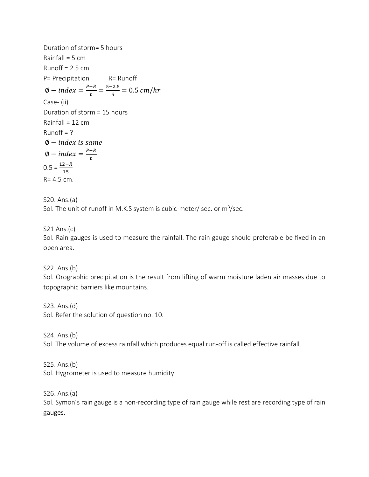Duration of storm= 5 hours Rainfall =  $5 \text{ cm}$ Runoff =  $2.5$  cm. P= Precipitation R= Runoff  $\emptyset - index = \frac{P-R}{t}$  $\frac{-R}{t} = \frac{5-2.5}{5}$  $\frac{L.S}{5} = 0.5 \, cm/hr$ Case- (ii) Duration of storm = 15 hours Rainfall =  $12 \text{ cm}$  $Runoff = ?$ ∅ −  $\emptyset$  – index =  $\frac{P-R}{L}$ t  $0.5 = \frac{12 - R}{15}$ R= 4.5 cm.

S20. Ans.(a)

Sol. The unit of runoff in M.K.S system is cubic-meter/ sec. or  $m^3$ /sec.

S21 Ans.(c)

Sol. Rain gauges is used to measure the rainfall. The rain gauge should preferable be fixed in an open area.

S22. Ans.(b)

Sol. Orographic precipitation is the result from lifting of warm moisture laden air masses due to topographic barriers like mountains.

S23. Ans.(d) Sol. Refer the solution of question no. 10.

S24. Ans.(b)

Sol. The volume of excess rainfall which produces equal run-off is called effective rainfall.

S25. Ans.(b) Sol. Hygrometer is used to measure humidity.

S26. Ans.(a)

Sol. Symon's rain gauge is a non-recording type of rain gauge while rest are recording type of rain gauges.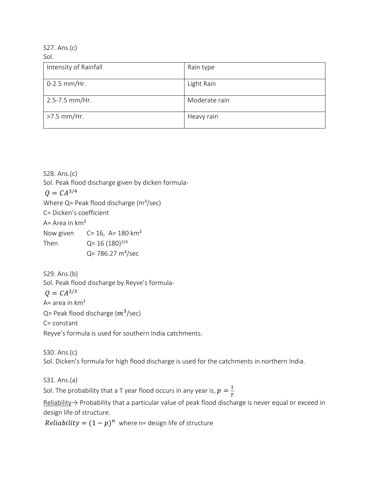S27. Ans.(c) Sol.

| Intensity of Rainfall | Rain type     |
|-----------------------|---------------|
| $0-2.5$ mm/Hr.        | Light Rain    |
| 2.5-7.5 mm/Hr.        | Moderate rain |
| >7.5 mm/Hr.           | Heavy rain    |

S28. Ans.(c) Sol. Peak flood discharge given by dicken formula-  $Q = CA^{3/4}$ Where  $Q =$  Peak flood discharge ( $m^3$ /sec) C= Dicken's coefficient A= Area in  $km<sup>2</sup>$ Now given  $C= 16$ , A= 180 km<sup>2</sup> Then  $Q = 16 (180)^{3/4}$  $Q = 786.27 \text{ m}^3/\text{sec}$ 

S29. Ans.(b) Sol. Peak flood discharge by Reyve's formula-  $Q = CA^{2/3}$ A= area in  $km<sup>2</sup>$ Q= Peak flood discharge ( $m^3$ /sec) C= constant Reyve's formula is used for southern India catchments.

S30. Ans.(c) Sol. Dicken's formula for high flood discharge is used for the catchments in northern India.

S31. Ans.(a)

Sol. The probability that a T year flood occurs in any year is,  $p=\frac{1}{r}$ T

Reliability→ Probability that a particular value of peak flood discharge is never equal or exceed in design life of structure.

*Reliability* =  $(1 - p)^n$  where n= design life of structure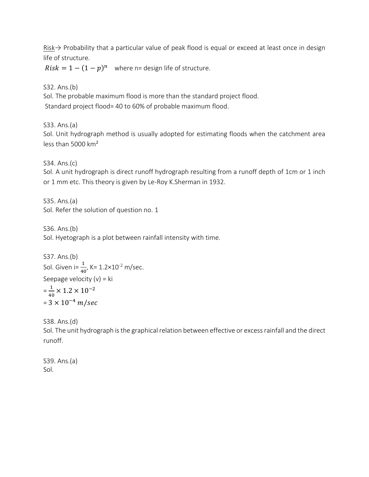Risk→ Probability that a particular value of peak flood is equal or exceed at least once in design life of structure.

 $Risk = 1 - (1 - p)^n$  where n= design life of structure.

S32. Ans.(b)

Sol. The probable maximum flood is more than the standard project flood. Standard project flood= 40 to 60% of probable maximum flood.

S33. Ans.(a)

Sol. Unit hydrograph method is usually adopted for estimating floods when the catchment area less than 5000 km²

S34. Ans.(c)

Sol. A unit hydrograph is direct runoff hydrograph resulting from a runoff depth of 1cm or 1 inch or 1 mm etc. This theory is given by Le-Roy K.Sherman in 1932.

S35. Ans.(a) Sol. Refer the solution of question no. 1

S36. Ans.(b) Sol. Hyetograph is a plot between rainfall intensity with time.

S37. Ans.(b)  
\nSol. Given i=
$$
\frac{1}{40}
$$
, K= 1.2×10<sup>-2</sup> m/sec.  
\nSeepage velocity (v) = ki  
\n= $\frac{1}{40}$  × 1.2 × 10<sup>-2</sup>  
\n= 3 × 10<sup>-4</sup> m/sec

S38. Ans.(d)

Sol. The unit hydrograph is the graphical relation between effective or excess rainfall and the direct runoff.

S39. Ans.(a) Sol.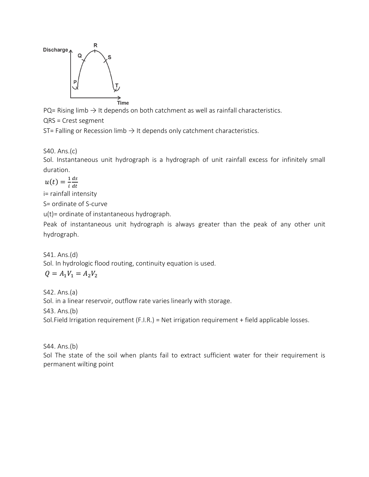

PQ= Rising limb  $\rightarrow$  It depends on both catchment as well as rainfall characteristics.

QRS = Crest segment

ST= Falling or Recession limb  $\rightarrow$  It depends only catchment characteristics.

S40. Ans.(c)

Sol. Instantaneous unit hydrograph is a hydrograph of unit rainfall excess for infinitely small duration.

$$
u(t) = \frac{1}{i} \frac{ds}{dt}
$$

i= rainfall intensity

S= ordinate of S-curve

u(t)= ordinate of instantaneous hydrograph.

Peak of instantaneous unit hydrograph is always greater than the peak of any other unit hydrograph.

S41. Ans.(d)

Sol. In hydrologic flood routing, continuity equation is used.

$$
Q=A_1V_1=A_2V_2
$$

S42. Ans.(a) Sol. in a linear reservoir, outflow rate varies linearly with storage. S43. Ans.(b) Sol.Field Irrigation requirement (F.I.R.) = Net irrigation requirement + field applicable losses.

S44. Ans.(b)

Sol The state of the soil when plants fail to extract sufficient water for their requirement is permanent wilting point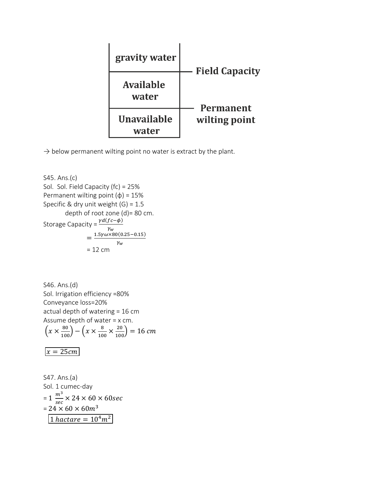| gravity water               | <b>Field Capacity</b> |
|-----------------------------|-----------------------|
| <b>Available</b><br>water   | <b>Permanent</b>      |
| <b>Unavailable</b><br>water | wilting point         |

 $\rightarrow$  below permanent wilting point no water is extract by the plant.

S45. Ans.(c) Sol. Sol. Field Capacity (fc) = 25% Permanent wilting point  $(\phi)$  = 15% Specific & dry unit weight  $(G) = 1.5$ depth of root zone (d)= 80 cm. Storage Capacity =  $\frac{\gamma d (f c - \phi)}{\gamma_w}$  $=\frac{1.5\gamma\omega\times80(0.25-0.15)}{10}$  $\gamma_w$  $= 12$  cm

S46. Ans.(d) Sol. Irrigation efficiency =80% Conveyance loss=20% actual depth of watering = 16 cm Assume depth of water = x cm.  $\left(x \times \frac{80}{100}\right) - \left(x \times \frac{8}{10}\right)$  $\frac{8}{100} \times \frac{20}{100}$  = 16 cm  $x = 25cm$ 

S47. Ans.(a) Sol. 1 cumec-day  $= 1 \frac{m^3}{\sqrt{3}}$  $\frac{m}{sec}$  × 24 × 60 × 60sec  $= 24 \times 60 \times 60 m^3$  $\boxed{1 \text{ } \textit{hactare} = 10^4 \textit{m}^2}$